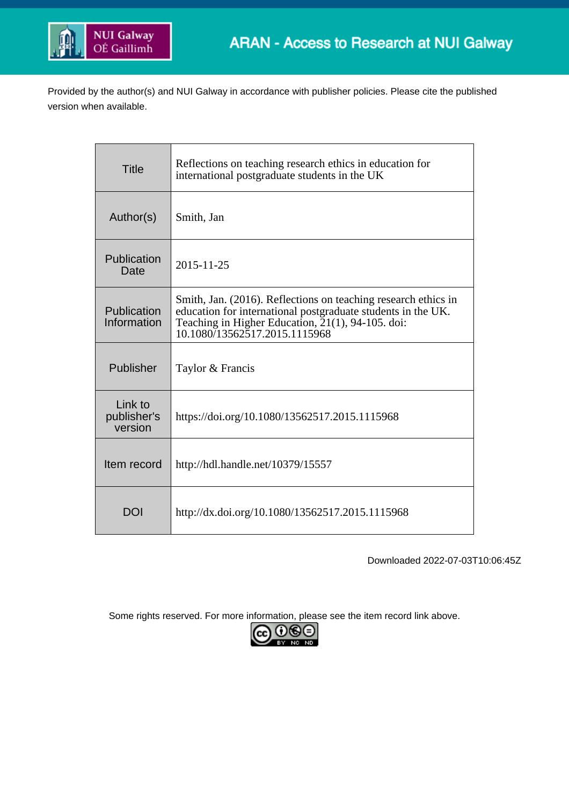

Provided by the author(s) and NUI Galway in accordance with publisher policies. Please cite the published version when available.

| <b>Title</b>                      | Reflections on teaching research ethics in education for<br>international postgraduate students in the UK                                                                                                            |
|-----------------------------------|----------------------------------------------------------------------------------------------------------------------------------------------------------------------------------------------------------------------|
| Author(s)                         | Smith, Jan                                                                                                                                                                                                           |
| Publication<br>Date               | 2015-11-25                                                                                                                                                                                                           |
| Publication<br>Information        | Smith, Jan. (2016). Reflections on teaching research ethics in<br>education for international postgraduate students in the UK.<br>Teaching in Higher Education, 21(1), 94-105. doi:<br>10.1080/13562517.2015.1115968 |
| Publisher                         | Taylor & Francis                                                                                                                                                                                                     |
| Link to<br>publisher's<br>version | https://doi.org/10.1080/13562517.2015.1115968                                                                                                                                                                        |
| Item record                       | http://hdl.handle.net/10379/15557                                                                                                                                                                                    |
| DOI                               | http://dx.doi.org/10.1080/13562517.2015.1115968                                                                                                                                                                      |

Downloaded 2022-07-03T10:06:45Z

Some rights reserved. For more information, please see the item record link above.

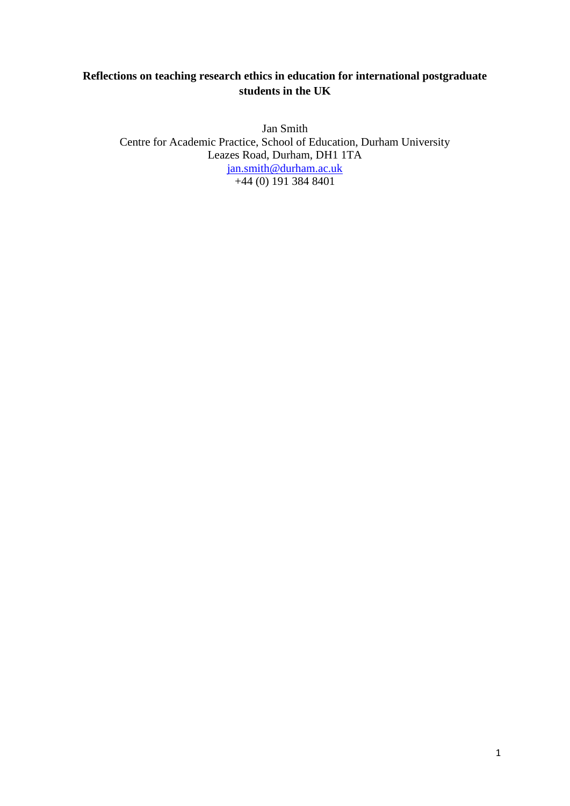## **Reflections on teaching research ethics in education for international postgraduate students in the UK**

Jan Smith Centre for Academic Practice, School of Education, Durham University Leazes Road, Durham, DH1 1TA [jan.smith@durham.ac.uk](mailto:jan.smith@durham.ac.uk) +44 (0) 191 384 8401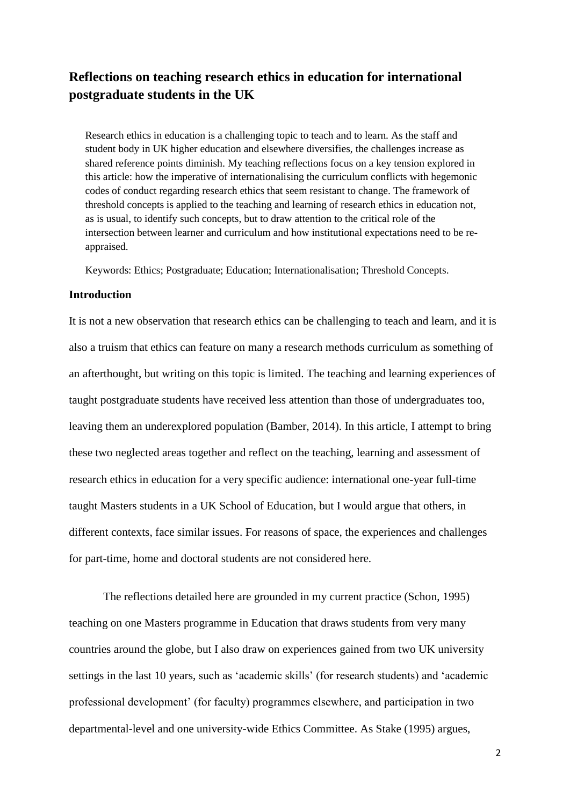# **Reflections on teaching research ethics in education for international postgraduate students in the UK**

Research ethics in education is a challenging topic to teach and to learn. As the staff and student body in UK higher education and elsewhere diversifies, the challenges increase as shared reference points diminish. My teaching reflections focus on a key tension explored in this article: how the imperative of internationalising the curriculum conflicts with hegemonic codes of conduct regarding research ethics that seem resistant to change. The framework of threshold concepts is applied to the teaching and learning of research ethics in education not, as is usual, to identify such concepts, but to draw attention to the critical role of the intersection between learner and curriculum and how institutional expectations need to be reappraised.

Keywords: Ethics; Postgraduate; Education; Internationalisation; Threshold Concepts.

## **Introduction**

It is not a new observation that research ethics can be challenging to teach and learn, and it is also a truism that ethics can feature on many a research methods curriculum as something of an afterthought, but writing on this topic is limited. The teaching and learning experiences of taught postgraduate students have received less attention than those of undergraduates too, leaving them an underexplored population (Bamber, 2014). In this article, I attempt to bring these two neglected areas together and reflect on the teaching, learning and assessment of research ethics in education for a very specific audience: international one-year full-time taught Masters students in a UK School of Education, but I would argue that others, in different contexts, face similar issues. For reasons of space, the experiences and challenges for part-time, home and doctoral students are not considered here.

The reflections detailed here are grounded in my current practice (Schon, 1995) teaching on one Masters programme in Education that draws students from very many countries around the globe, but I also draw on experiences gained from two UK university settings in the last 10 years, such as 'academic skills' (for research students) and 'academic professional development' (for faculty) programmes elsewhere, and participation in two departmental-level and one university-wide Ethics Committee. As Stake (1995) argues,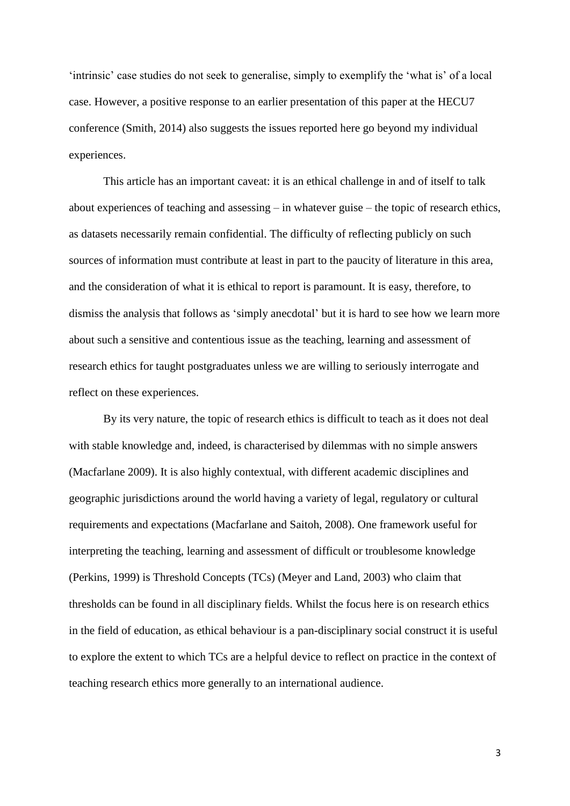'intrinsic' case studies do not seek to generalise, simply to exemplify the 'what is' of a local case. However, a positive response to an earlier presentation of this paper at the HECU7 conference (Smith, 2014) also suggests the issues reported here go beyond my individual experiences.

This article has an important caveat: it is an ethical challenge in and of itself to talk about experiences of teaching and assessing – in whatever guise – the topic of research ethics, as datasets necessarily remain confidential. The difficulty of reflecting publicly on such sources of information must contribute at least in part to the paucity of literature in this area, and the consideration of what it is ethical to report is paramount. It is easy, therefore, to dismiss the analysis that follows as 'simply anecdotal' but it is hard to see how we learn more about such a sensitive and contentious issue as the teaching, learning and assessment of research ethics for taught postgraduates unless we are willing to seriously interrogate and reflect on these experiences.

By its very nature, the topic of research ethics is difficult to teach as it does not deal with stable knowledge and, indeed, is characterised by dilemmas with no simple answers (Macfarlane 2009). It is also highly contextual, with different academic disciplines and geographic jurisdictions around the world having a variety of legal, regulatory or cultural requirements and expectations (Macfarlane and Saitoh, 2008). One framework useful for interpreting the teaching, learning and assessment of difficult or troublesome knowledge (Perkins, 1999) is Threshold Concepts (TCs) (Meyer and Land, 2003) who claim that thresholds can be found in all disciplinary fields. Whilst the focus here is on research ethics in the field of education, as ethical behaviour is a pan-disciplinary social construct it is useful to explore the extent to which TCs are a helpful device to reflect on practice in the context of teaching research ethics more generally to an international audience.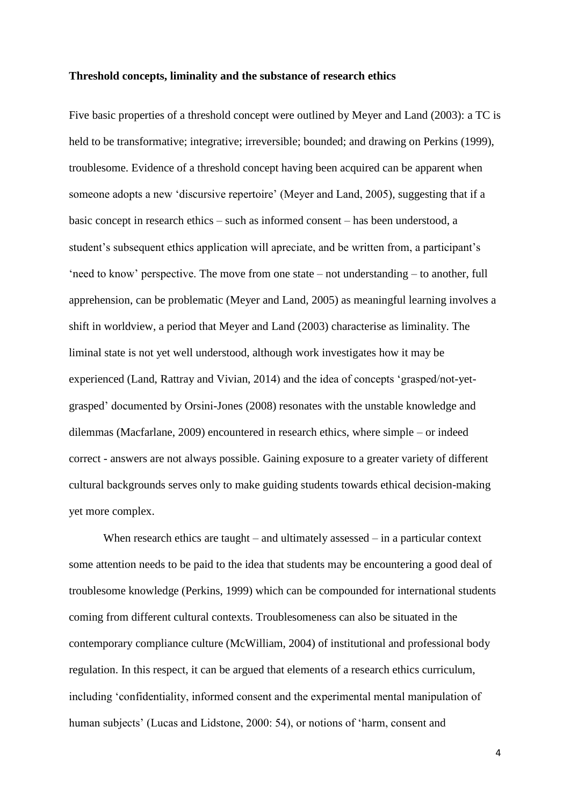#### **Threshold concepts, liminality and the substance of research ethics**

Five basic properties of a threshold concept were outlined by Meyer and Land (2003): a TC is held to be transformative; integrative; irreversible; bounded; and drawing on Perkins (1999), troublesome. Evidence of a threshold concept having been acquired can be apparent when someone adopts a new 'discursive repertoire' (Meyer and Land, 2005), suggesting that if a basic concept in research ethics – such as informed consent – has been understood, a student's subsequent ethics application will apreciate, and be written from, a participant's 'need to know' perspective. The move from one state – not understanding – to another, full apprehension, can be problematic (Meyer and Land, 2005) as meaningful learning involves a shift in worldview, a period that Meyer and Land (2003) characterise as liminality. The liminal state is not yet well understood, although work investigates how it may be experienced (Land, Rattray and Vivian, 2014) and the idea of concepts 'grasped/not-yetgrasped' documented by Orsini-Jones (2008) resonates with the unstable knowledge and dilemmas (Macfarlane, 2009) encountered in research ethics, where simple – or indeed correct - answers are not always possible. Gaining exposure to a greater variety of different cultural backgrounds serves only to make guiding students towards ethical decision-making yet more complex.

When research ethics are taught – and ultimately assessed – in a particular context some attention needs to be paid to the idea that students may be encountering a good deal of troublesome knowledge (Perkins, 1999) which can be compounded for international students coming from different cultural contexts. Troublesomeness can also be situated in the contemporary compliance culture (McWilliam, 2004) of institutional and professional body regulation. In this respect, it can be argued that elements of a research ethics curriculum, including 'confidentiality, informed consent and the experimental mental manipulation of human subjects' (Lucas and Lidstone, 2000: 54), or notions of 'harm, consent and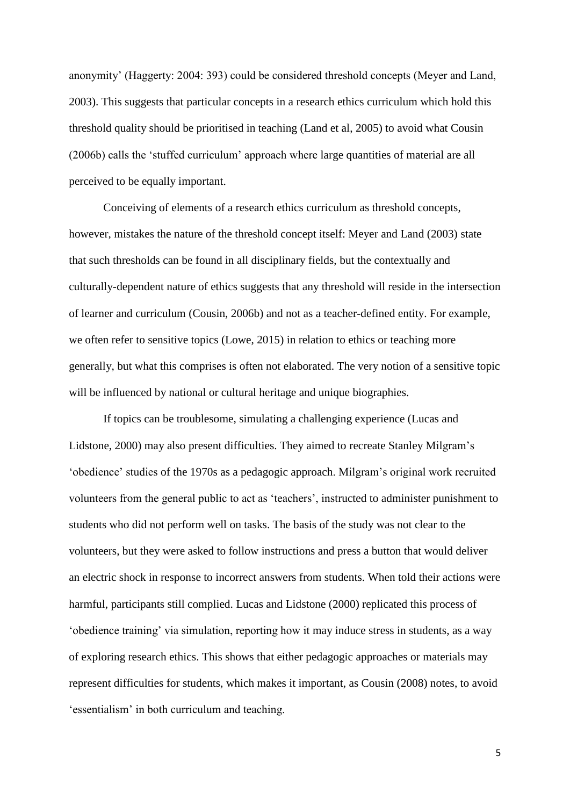anonymity' (Haggerty: 2004: 393) could be considered threshold concepts (Meyer and Land, 2003). This suggests that particular concepts in a research ethics curriculum which hold this threshold quality should be prioritised in teaching (Land et al, 2005) to avoid what Cousin (2006b) calls the 'stuffed curriculum' approach where large quantities of material are all perceived to be equally important.

Conceiving of elements of a research ethics curriculum as threshold concepts, however, mistakes the nature of the threshold concept itself: Meyer and Land (2003) state that such thresholds can be found in all disciplinary fields, but the contextually and culturally-dependent nature of ethics suggests that any threshold will reside in the intersection of learner and curriculum (Cousin, 2006b) and not as a teacher-defined entity. For example, we often refer to sensitive topics (Lowe, 2015) in relation to ethics or teaching more generally, but what this comprises is often not elaborated. The very notion of a sensitive topic will be influenced by national or cultural heritage and unique biographies.

If topics can be troublesome, simulating a challenging experience (Lucas and Lidstone, 2000) may also present difficulties. They aimed to recreate Stanley Milgram's 'obedience' studies of the 1970s as a pedagogic approach. Milgram's original work recruited volunteers from the general public to act as 'teachers', instructed to administer punishment to students who did not perform well on tasks. The basis of the study was not clear to the volunteers, but they were asked to follow instructions and press a button that would deliver an electric shock in response to incorrect answers from students. When told their actions were harmful, participants still complied. Lucas and Lidstone (2000) replicated this process of 'obedience training' via simulation, reporting how it may induce stress in students, as a way of exploring research ethics. This shows that either pedagogic approaches or materials may represent difficulties for students, which makes it important, as Cousin (2008) notes, to avoid 'essentialism' in both curriculum and teaching.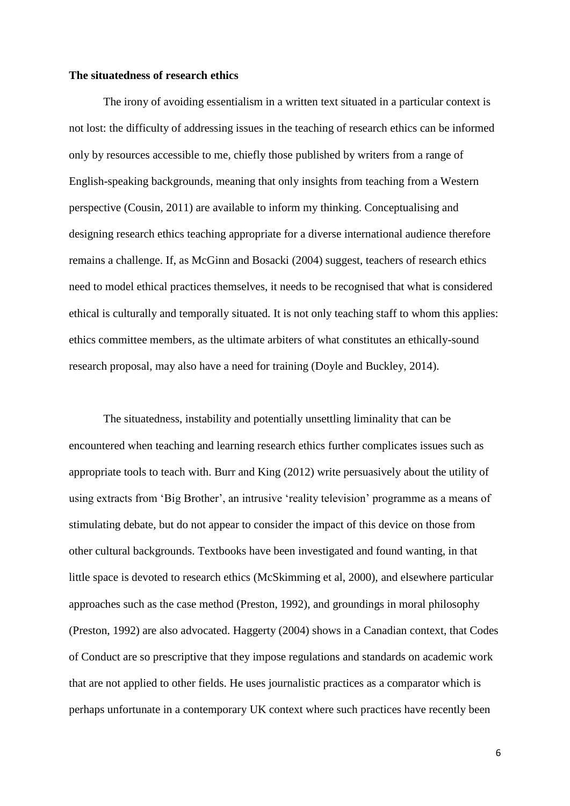#### **The situatedness of research ethics**

The irony of avoiding essentialism in a written text situated in a particular context is not lost: the difficulty of addressing issues in the teaching of research ethics can be informed only by resources accessible to me, chiefly those published by writers from a range of English-speaking backgrounds, meaning that only insights from teaching from a Western perspective (Cousin, 2011) are available to inform my thinking. Conceptualising and designing research ethics teaching appropriate for a diverse international audience therefore remains a challenge. If, as McGinn and Bosacki (2004) suggest, teachers of research ethics need to model ethical practices themselves, it needs to be recognised that what is considered ethical is culturally and temporally situated. It is not only teaching staff to whom this applies: ethics committee members, as the ultimate arbiters of what constitutes an ethically-sound research proposal, may also have a need for training (Doyle and Buckley, 2014).

The situatedness, instability and potentially unsettling liminality that can be encountered when teaching and learning research ethics further complicates issues such as appropriate tools to teach with. Burr and King (2012) write persuasively about the utility of using extracts from 'Big Brother', an intrusive 'reality television' programme as a means of stimulating debate, but do not appear to consider the impact of this device on those from other cultural backgrounds. Textbooks have been investigated and found wanting, in that little space is devoted to research ethics (McSkimming et al, 2000), and elsewhere particular approaches such as the case method (Preston, 1992), and groundings in moral philosophy (Preston, 1992) are also advocated. Haggerty (2004) shows in a Canadian context, that Codes of Conduct are so prescriptive that they impose regulations and standards on academic work that are not applied to other fields. He uses journalistic practices as a comparator which is perhaps unfortunate in a contemporary UK context where such practices have recently been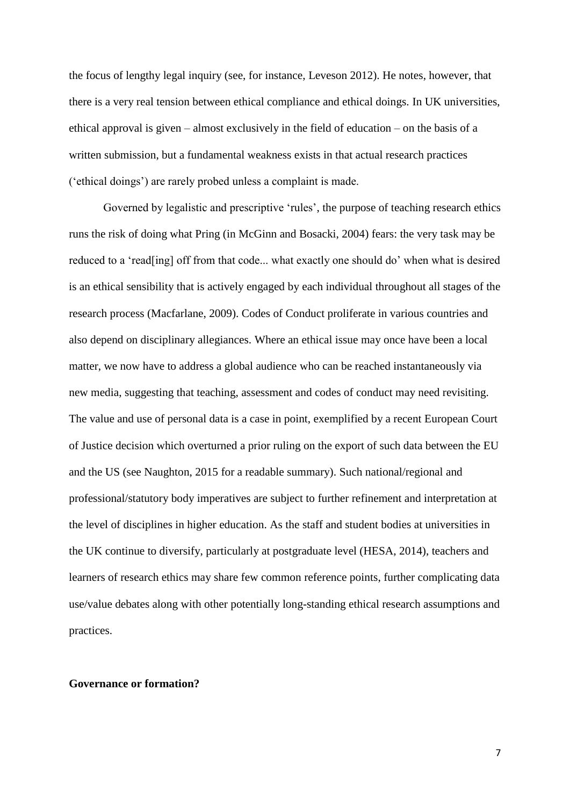the focus of lengthy legal inquiry (see, for instance, Leveson 2012). He notes, however, that there is a very real tension between ethical compliance and ethical doings. In UK universities, ethical approval is given – almost exclusively in the field of education – on the basis of a written submission, but a fundamental weakness exists in that actual research practices ('ethical doings') are rarely probed unless a complaint is made.

Governed by legalistic and prescriptive 'rules', the purpose of teaching research ethics runs the risk of doing what Pring (in McGinn and Bosacki, 2004) fears: the very task may be reduced to a 'read[ing] off from that code... what exactly one should do' when what is desired is an ethical sensibility that is actively engaged by each individual throughout all stages of the research process (Macfarlane, 2009). Codes of Conduct proliferate in various countries and also depend on disciplinary allegiances. Where an ethical issue may once have been a local matter, we now have to address a global audience who can be reached instantaneously via new media, suggesting that teaching, assessment and codes of conduct may need revisiting. The value and use of personal data is a case in point, exemplified by a recent European Court of Justice decision which overturned a prior ruling on the export of such data between the EU and the US (see Naughton, 2015 for a readable summary). Such national/regional and professional/statutory body imperatives are subject to further refinement and interpretation at the level of disciplines in higher education. As the staff and student bodies at universities in the UK continue to diversify, particularly at postgraduate level (HESA, 2014), teachers and learners of research ethics may share few common reference points, further complicating data use/value debates along with other potentially long-standing ethical research assumptions and practices.

#### **Governance or formation?**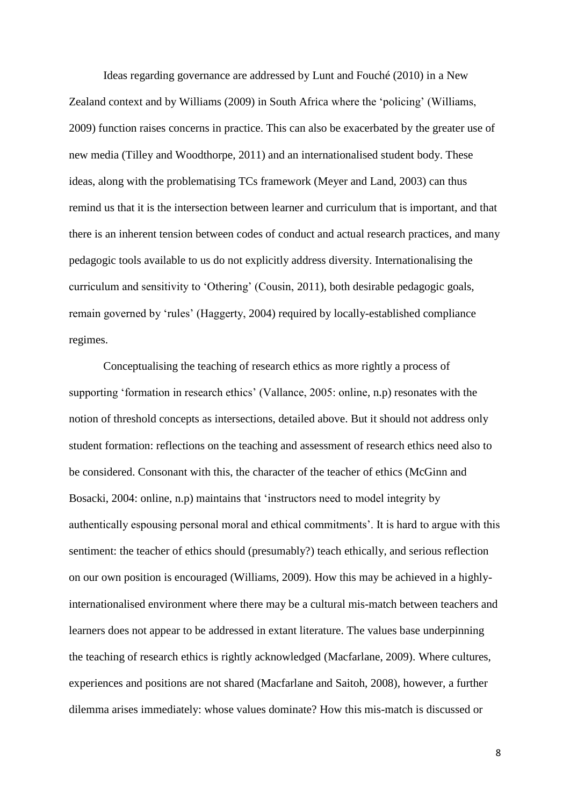Ideas regarding governance are addressed by Lunt and Fouché (2010) in a New Zealand context and by Williams (2009) in South Africa where the 'policing' (Williams, 2009) function raises concerns in practice. This can also be exacerbated by the greater use of new media (Tilley and Woodthorpe, 2011) and an internationalised student body. These ideas, along with the problematising TCs framework (Meyer and Land, 2003) can thus remind us that it is the intersection between learner and curriculum that is important, and that there is an inherent tension between codes of conduct and actual research practices, and many pedagogic tools available to us do not explicitly address diversity. Internationalising the curriculum and sensitivity to 'Othering' (Cousin, 2011), both desirable pedagogic goals, remain governed by 'rules' (Haggerty, 2004) required by locally-established compliance regimes.

Conceptualising the teaching of research ethics as more rightly a process of supporting 'formation in research ethics' (Vallance, 2005: online, n.p) resonates with the notion of threshold concepts as intersections, detailed above. But it should not address only student formation: reflections on the teaching and assessment of research ethics need also to be considered. Consonant with this, the character of the teacher of ethics (McGinn and Bosacki, 2004: online, n.p) maintains that 'instructors need to model integrity by authentically espousing personal moral and ethical commitments'. It is hard to argue with this sentiment: the teacher of ethics should (presumably?) teach ethically, and serious reflection on our own position is encouraged (Williams, 2009). How this may be achieved in a highlyinternationalised environment where there may be a cultural mis-match between teachers and learners does not appear to be addressed in extant literature. The values base underpinning the teaching of research ethics is rightly acknowledged (Macfarlane, 2009). Where cultures, experiences and positions are not shared (Macfarlane and Saitoh, 2008), however, a further dilemma arises immediately: whose values dominate? How this mis-match is discussed or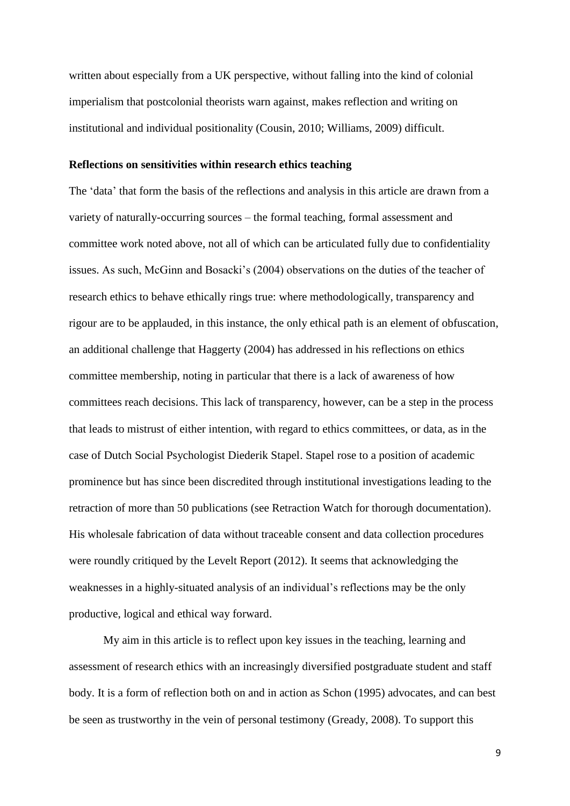written about especially from a UK perspective, without falling into the kind of colonial imperialism that postcolonial theorists warn against, makes reflection and writing on institutional and individual positionality (Cousin, 2010; Williams, 2009) difficult.

## **Reflections on sensitivities within research ethics teaching**

The 'data' that form the basis of the reflections and analysis in this article are drawn from a variety of naturally-occurring sources – the formal teaching, formal assessment and committee work noted above, not all of which can be articulated fully due to confidentiality issues. As such, McGinn and Bosacki's (2004) observations on the duties of the teacher of research ethics to behave ethically rings true: where methodologically, transparency and rigour are to be applauded, in this instance, the only ethical path is an element of obfuscation, an additional challenge that Haggerty (2004) has addressed in his reflections on ethics committee membership, noting in particular that there is a lack of awareness of how committees reach decisions. This lack of transparency, however, can be a step in the process that leads to mistrust of either intention, with regard to ethics committees, or data, as in the case of Dutch Social Psychologist Diederik Stapel. Stapel rose to a position of academic prominence but has since been discredited through institutional investigations leading to the retraction of more than 50 publications (see Retraction Watch for thorough documentation). His wholesale fabrication of data without traceable consent and data collection procedures were roundly critiqued by the Levelt Report (2012). It seems that acknowledging the weaknesses in a highly-situated analysis of an individual's reflections may be the only productive, logical and ethical way forward.

My aim in this article is to reflect upon key issues in the teaching, learning and assessment of research ethics with an increasingly diversified postgraduate student and staff body. It is a form of reflection both on and in action as Schon (1995) advocates, and can best be seen as trustworthy in the vein of personal testimony (Gready, 2008). To support this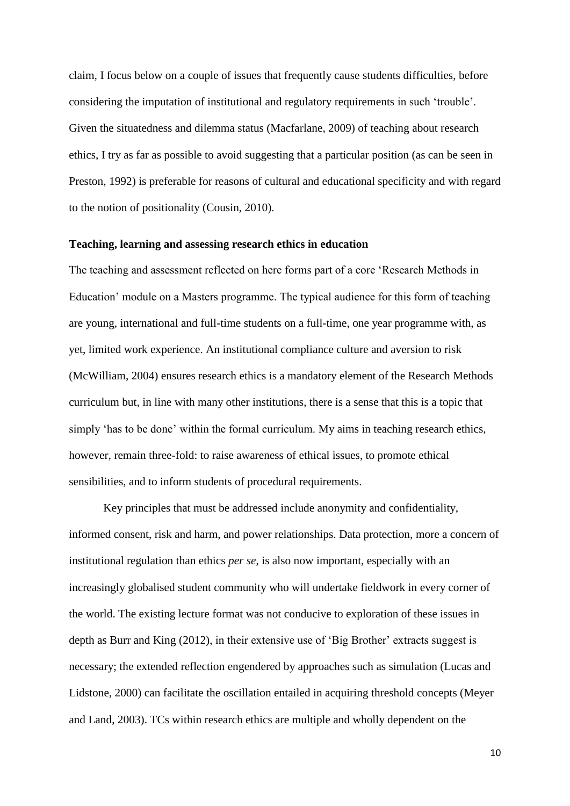claim, I focus below on a couple of issues that frequently cause students difficulties, before considering the imputation of institutional and regulatory requirements in such 'trouble'. Given the situatedness and dilemma status (Macfarlane, 2009) of teaching about research ethics, I try as far as possible to avoid suggesting that a particular position (as can be seen in Preston, 1992) is preferable for reasons of cultural and educational specificity and with regard to the notion of positionality (Cousin, 2010).

## **Teaching, learning and assessing research ethics in education**

The teaching and assessment reflected on here forms part of a core 'Research Methods in Education' module on a Masters programme. The typical audience for this form of teaching are young, international and full-time students on a full-time, one year programme with, as yet, limited work experience. An institutional compliance culture and aversion to risk (McWilliam, 2004) ensures research ethics is a mandatory element of the Research Methods curriculum but, in line with many other institutions, there is a sense that this is a topic that simply 'has to be done' within the formal curriculum. My aims in teaching research ethics, however, remain three-fold: to raise awareness of ethical issues, to promote ethical sensibilities, and to inform students of procedural requirements.

Key principles that must be addressed include anonymity and confidentiality, informed consent, risk and harm, and power relationships. Data protection, more a concern of institutional regulation than ethics *per se*, is also now important, especially with an increasingly globalised student community who will undertake fieldwork in every corner of the world. The existing lecture format was not conducive to exploration of these issues in depth as Burr and King (2012), in their extensive use of 'Big Brother' extracts suggest is necessary; the extended reflection engendered by approaches such as simulation (Lucas and Lidstone, 2000) can facilitate the oscillation entailed in acquiring threshold concepts (Meyer and Land, 2003). TCs within research ethics are multiple and wholly dependent on the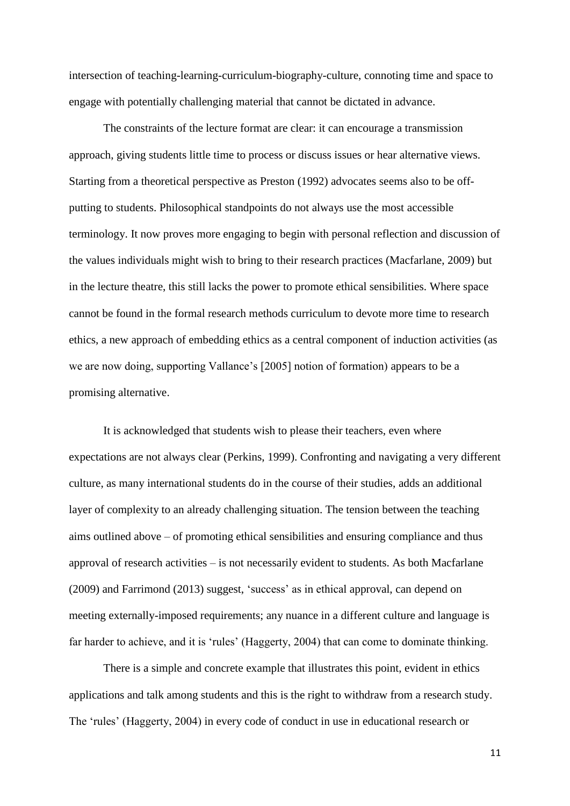intersection of teaching-learning-curriculum-biography-culture, connoting time and space to engage with potentially challenging material that cannot be dictated in advance.

The constraints of the lecture format are clear: it can encourage a transmission approach, giving students little time to process or discuss issues or hear alternative views. Starting from a theoretical perspective as Preston (1992) advocates seems also to be offputting to students. Philosophical standpoints do not always use the most accessible terminology. It now proves more engaging to begin with personal reflection and discussion of the values individuals might wish to bring to their research practices (Macfarlane, 2009) but in the lecture theatre, this still lacks the power to promote ethical sensibilities. Where space cannot be found in the formal research methods curriculum to devote more time to research ethics, a new approach of embedding ethics as a central component of induction activities (as we are now doing, supporting Vallance's [2005] notion of formation) appears to be a promising alternative.

It is acknowledged that students wish to please their teachers, even where expectations are not always clear (Perkins, 1999). Confronting and navigating a very different culture, as many international students do in the course of their studies, adds an additional layer of complexity to an already challenging situation. The tension between the teaching aims outlined above – of promoting ethical sensibilities and ensuring compliance and thus approval of research activities – is not necessarily evident to students. As both Macfarlane (2009) and Farrimond (2013) suggest, 'success' as in ethical approval, can depend on meeting externally-imposed requirements; any nuance in a different culture and language is far harder to achieve, and it is 'rules' (Haggerty, 2004) that can come to dominate thinking.

There is a simple and concrete example that illustrates this point, evident in ethics applications and talk among students and this is the right to withdraw from a research study. The 'rules' (Haggerty, 2004) in every code of conduct in use in educational research or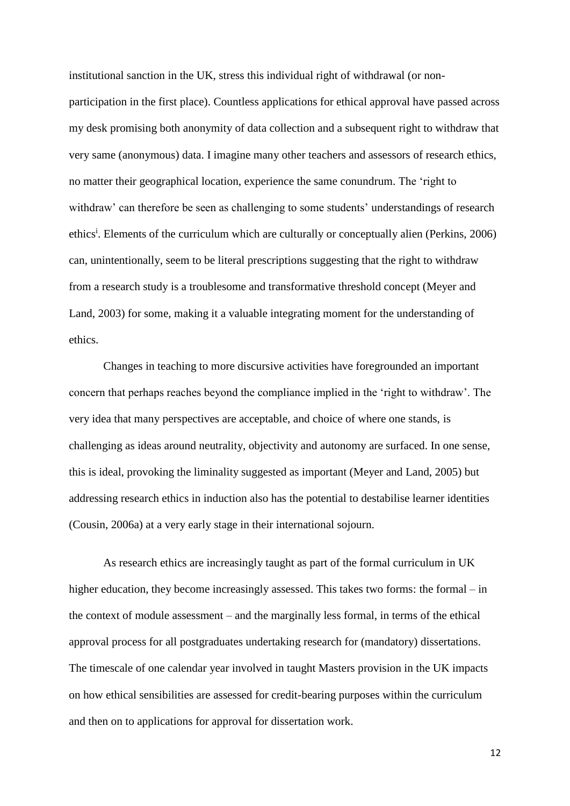institutional sanction in the UK, stress this individual right of withdrawal (or nonparticipation in the first place). Countless applications for ethical approval have passed across my desk promising both anonymity of data collection and a subsequent right to withdraw that very same (anonymous) data. I imagine many other teachers and assessors of research ethics, no matter their geographical location, experience the same conundrum. The 'right to withdraw' can therefore be seen as challenging to some students' understandings of research ethics<sup>i</sup>. Elements of the curriculum which are culturally or conceptually alien (Perkins, 2006) can, unintentionally, seem to be literal prescriptions suggesting that the right to withdraw from a research study is a troublesome and transformative threshold concept (Meyer and Land, 2003) for some, making it a valuable integrating moment for the understanding of ethics.

Changes in teaching to more discursive activities have foregrounded an important concern that perhaps reaches beyond the compliance implied in the 'right to withdraw'. The very idea that many perspectives are acceptable, and choice of where one stands, is challenging as ideas around neutrality, objectivity and autonomy are surfaced. In one sense, this is ideal, provoking the liminality suggested as important (Meyer and Land, 2005) but addressing research ethics in induction also has the potential to destabilise learner identities (Cousin, 2006a) at a very early stage in their international sojourn.

As research ethics are increasingly taught as part of the formal curriculum in UK higher education, they become increasingly assessed. This takes two forms: the formal – in the context of module assessment – and the marginally less formal, in terms of the ethical approval process for all postgraduates undertaking research for (mandatory) dissertations. The timescale of one calendar year involved in taught Masters provision in the UK impacts on how ethical sensibilities are assessed for credit-bearing purposes within the curriculum and then on to applications for approval for dissertation work.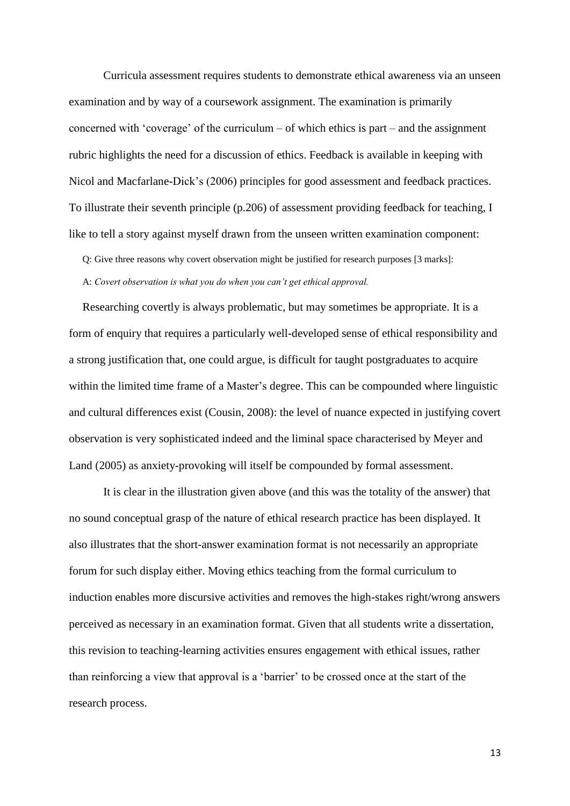Curricula assessment requires students to demonstrate ethical awareness via an unseen examination and by way of a coursework assignment. The examination is primarily concerned with 'coverage' of the curriculum – of which ethics is part – and the assignment rubric highlights the need for a discussion of ethics. Feedback is available in keeping with Nicol and Macfarlane-Dick's (2006) principles for good assessment and feedback practices. To illustrate their seventh principle (p.206) of assessment providing feedback for teaching, I like to tell a story against myself drawn from the unseen written examination component:

Q: Give three reasons why covert observation might be justified for research purposes [3 marks]: A: *Covert observation is what you do when you can't get ethical approval.*

Researching covertly is always problematic, but may sometimes be appropriate. It is a form of enquiry that requires a particularly well-developed sense of ethical responsibility and a strong justification that, one could argue, is difficult for taught postgraduates to acquire within the limited time frame of a Master's degree. This can be compounded where linguistic and cultural differences exist (Cousin, 2008): the level of nuance expected in justifying covert observation is very sophisticated indeed and the liminal space characterised by Meyer and Land (2005) as anxiety-provoking will itself be compounded by formal assessment.

It is clear in the illustration given above (and this was the totality of the answer) that no sound conceptual grasp of the nature of ethical research practice has been displayed. It also illustrates that the short-answer examination format is not necessarily an appropriate forum for such display either. Moving ethics teaching from the formal curriculum to induction enables more discursive activities and removes the high-stakes right/wrong answers perceived as necessary in an examination format. Given that all students write a dissertation, this revision to teaching-learning activities ensures engagement with ethical issues, rather than reinforcing a view that approval is a 'barrier' to be crossed once at the start of the research process.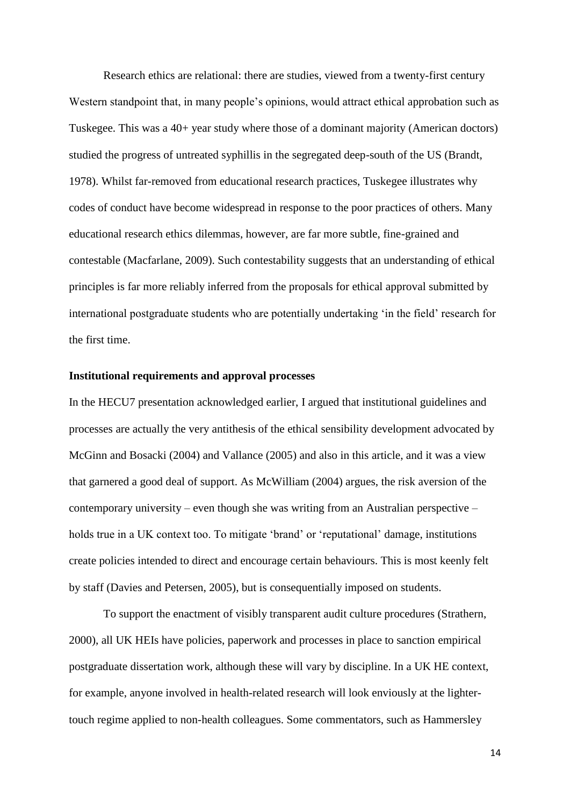Research ethics are relational: there are studies, viewed from a twenty-first century Western standpoint that, in many people's opinions, would attract ethical approbation such as Tuskegee. This was a 40+ year study where those of a dominant majority (American doctors) studied the progress of untreated syphillis in the segregated deep-south of the US (Brandt, 1978). Whilst far-removed from educational research practices, Tuskegee illustrates why codes of conduct have become widespread in response to the poor practices of others. Many educational research ethics dilemmas, however, are far more subtle, fine-grained and contestable (Macfarlane, 2009). Such contestability suggests that an understanding of ethical principles is far more reliably inferred from the proposals for ethical approval submitted by international postgraduate students who are potentially undertaking 'in the field' research for the first time.

## **Institutional requirements and approval processes**

In the HECU7 presentation acknowledged earlier, I argued that institutional guidelines and processes are actually the very antithesis of the ethical sensibility development advocated by McGinn and Bosacki (2004) and Vallance (2005) and also in this article, and it was a view that garnered a good deal of support. As McWilliam (2004) argues, the risk aversion of the contemporary university – even though she was writing from an Australian perspective – holds true in a UK context too. To mitigate 'brand' or 'reputational' damage, institutions create policies intended to direct and encourage certain behaviours. This is most keenly felt by staff (Davies and Petersen, 2005), but is consequentially imposed on students.

To support the enactment of visibly transparent audit culture procedures (Strathern, 2000), all UK HEIs have policies, paperwork and processes in place to sanction empirical postgraduate dissertation work, although these will vary by discipline. In a UK HE context, for example, anyone involved in health-related research will look enviously at the lightertouch regime applied to non-health colleagues. Some commentators, such as Hammersley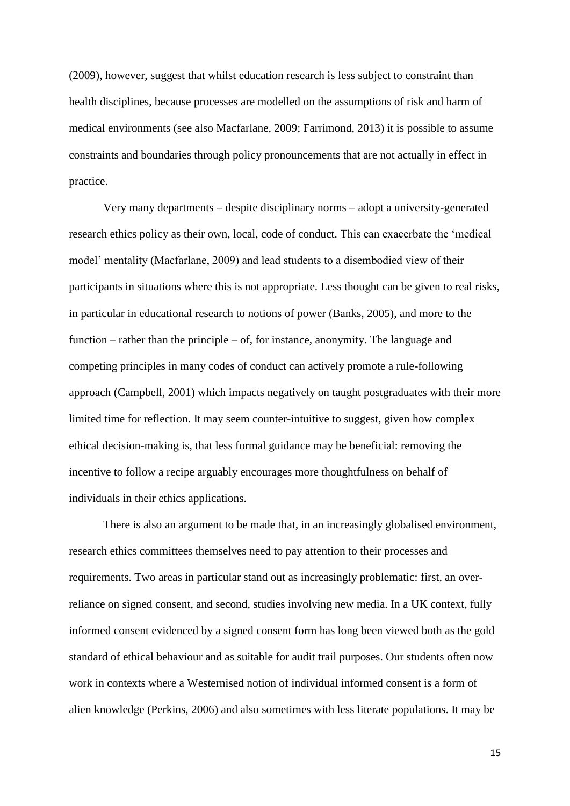(2009), however, suggest that whilst education research is less subject to constraint than health disciplines, because processes are modelled on the assumptions of risk and harm of medical environments (see also Macfarlane, 2009; Farrimond, 2013) it is possible to assume constraints and boundaries through policy pronouncements that are not actually in effect in practice.

Very many departments – despite disciplinary norms – adopt a university-generated research ethics policy as their own, local, code of conduct. This can exacerbate the 'medical model' mentality (Macfarlane, 2009) and lead students to a disembodied view of their participants in situations where this is not appropriate. Less thought can be given to real risks, in particular in educational research to notions of power (Banks, 2005), and more to the function – rather than the principle – of, for instance, anonymity. The language and competing principles in many codes of conduct can actively promote a rule-following approach (Campbell, 2001) which impacts negatively on taught postgraduates with their more limited time for reflection. It may seem counter-intuitive to suggest, given how complex ethical decision-making is, that less formal guidance may be beneficial: removing the incentive to follow a recipe arguably encourages more thoughtfulness on behalf of individuals in their ethics applications.

There is also an argument to be made that, in an increasingly globalised environment, research ethics committees themselves need to pay attention to their processes and requirements. Two areas in particular stand out as increasingly problematic: first, an overreliance on signed consent, and second, studies involving new media. In a UK context, fully informed consent evidenced by a signed consent form has long been viewed both as the gold standard of ethical behaviour and as suitable for audit trail purposes. Our students often now work in contexts where a Westernised notion of individual informed consent is a form of alien knowledge (Perkins, 2006) and also sometimes with less literate populations. It may be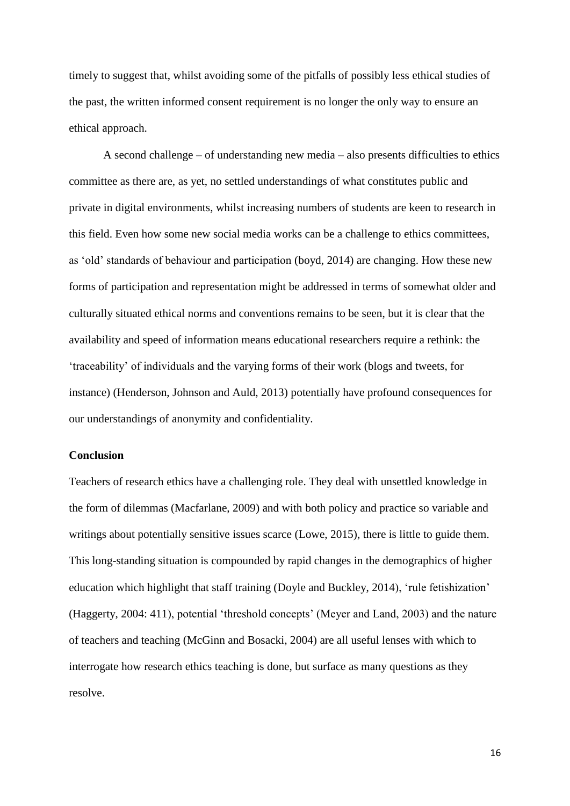timely to suggest that, whilst avoiding some of the pitfalls of possibly less ethical studies of the past, the written informed consent requirement is no longer the only way to ensure an ethical approach.

A second challenge – of understanding new media – also presents difficulties to ethics committee as there are, as yet, no settled understandings of what constitutes public and private in digital environments, whilst increasing numbers of students are keen to research in this field. Even how some new social media works can be a challenge to ethics committees, as 'old' standards of behaviour and participation (boyd, 2014) are changing. How these new forms of participation and representation might be addressed in terms of somewhat older and culturally situated ethical norms and conventions remains to be seen, but it is clear that the availability and speed of information means educational researchers require a rethink: the 'traceability' of individuals and the varying forms of their work (blogs and tweets, for instance) (Henderson, Johnson and Auld, 2013) potentially have profound consequences for our understandings of anonymity and confidentiality.

## **Conclusion**

Teachers of research ethics have a challenging role. They deal with unsettled knowledge in the form of dilemmas (Macfarlane, 2009) and with both policy and practice so variable and writings about potentially sensitive issues scarce (Lowe, 2015), there is little to guide them. This long-standing situation is compounded by rapid changes in the demographics of higher education which highlight that staff training (Doyle and Buckley, 2014), 'rule fetishization' (Haggerty, 2004: 411), potential 'threshold concepts' (Meyer and Land, 2003) and the nature of teachers and teaching (McGinn and Bosacki, 2004) are all useful lenses with which to interrogate how research ethics teaching is done, but surface as many questions as they resolve.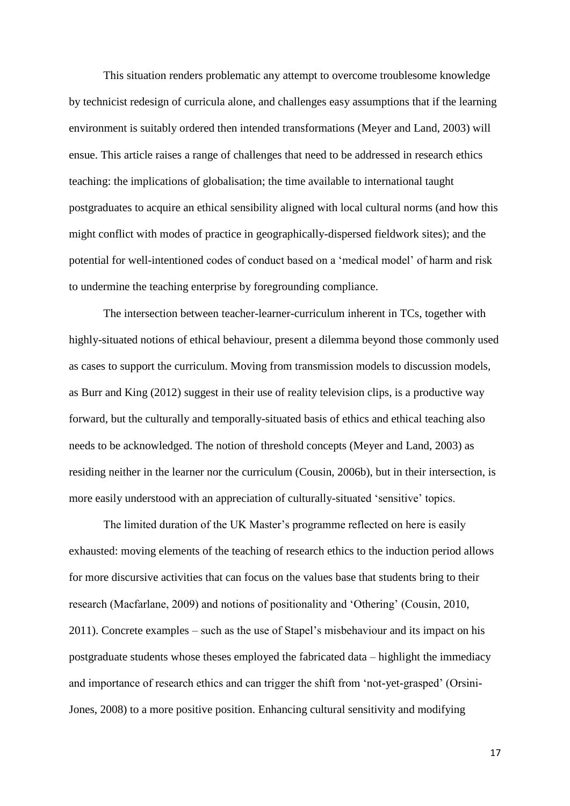This situation renders problematic any attempt to overcome troublesome knowledge by technicist redesign of curricula alone, and challenges easy assumptions that if the learning environment is suitably ordered then intended transformations (Meyer and Land, 2003) will ensue. This article raises a range of challenges that need to be addressed in research ethics teaching: the implications of globalisation; the time available to international taught postgraduates to acquire an ethical sensibility aligned with local cultural norms (and how this might conflict with modes of practice in geographically-dispersed fieldwork sites); and the potential for well-intentioned codes of conduct based on a 'medical model' of harm and risk to undermine the teaching enterprise by foregrounding compliance.

The intersection between teacher-learner-curriculum inherent in TCs, together with highly-situated notions of ethical behaviour, present a dilemma beyond those commonly used as cases to support the curriculum. Moving from transmission models to discussion models, as Burr and King (2012) suggest in their use of reality television clips, is a productive way forward, but the culturally and temporally-situated basis of ethics and ethical teaching also needs to be acknowledged. The notion of threshold concepts (Meyer and Land, 2003) as residing neither in the learner nor the curriculum (Cousin, 2006b), but in their intersection, is more easily understood with an appreciation of culturally-situated 'sensitive' topics.

The limited duration of the UK Master's programme reflected on here is easily exhausted: moving elements of the teaching of research ethics to the induction period allows for more discursive activities that can focus on the values base that students bring to their research (Macfarlane, 2009) and notions of positionality and 'Othering' (Cousin, 2010, 2011). Concrete examples – such as the use of Stapel's misbehaviour and its impact on his postgraduate students whose theses employed the fabricated data – highlight the immediacy and importance of research ethics and can trigger the shift from 'not-yet-grasped' (Orsini-Jones, 2008) to a more positive position. Enhancing cultural sensitivity and modifying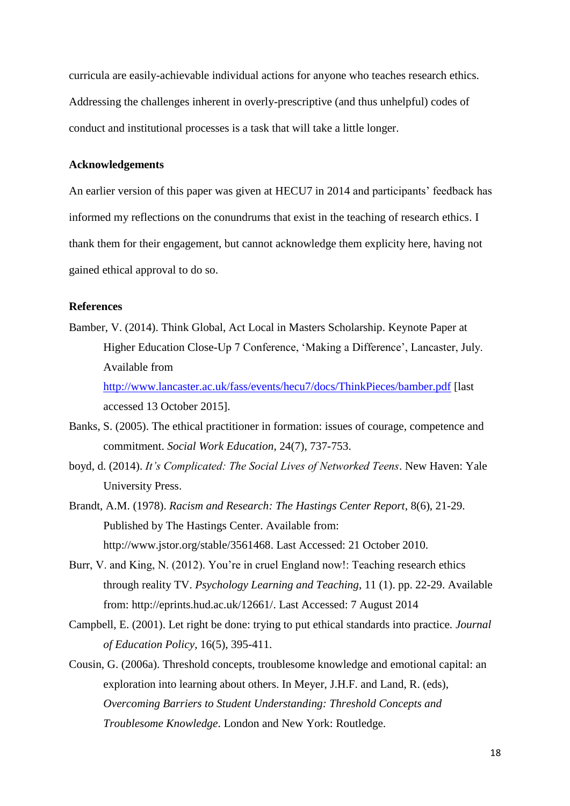curricula are easily-achievable individual actions for anyone who teaches research ethics. Addressing the challenges inherent in overly-prescriptive (and thus unhelpful) codes of conduct and institutional processes is a task that will take a little longer.

## **Acknowledgements**

An earlier version of this paper was given at HECU7 in 2014 and participants' feedback has informed my reflections on the conundrums that exist in the teaching of research ethics. I thank them for their engagement, but cannot acknowledge them explicity here, having not gained ethical approval to do so.

## **References**

- Bamber, V. (2014). Think Global, Act Local in Masters Scholarship. Keynote Paper at Higher Education Close-Up 7 Conference, 'Making a Difference', Lancaster, July. Available from <http://www.lancaster.ac.uk/fass/events/hecu7/docs/ThinkPieces/bamber.pdf> [last accessed 13 October 2015].
- Banks, S. (2005). The ethical practitioner in formation: issues of courage, competence and commitment. *Social Work Education*, 24(7), 737-753.
- boyd, d. (2014). *It's Complicated: The Social Lives of Networked Teens*. New Haven: Yale University Press.
- Brandt, A.M. (1978). *Racism and Research: The Hastings Center Report*, 8(6), 21-29. Published by The Hastings Center. Available from: [http://www.jstor.org/stable/3561468.](http://www.jstor.org/stable/3561468) Last Accessed: 21 October 2010.
- Burr, V. and King, N. (2012). You're in cruel England now!: Teaching research ethics through reality TV. *Psychology Learning and Teaching*, 11 (1). pp. 22-29. Available from: [http://eprints.hud.ac.uk/12661/.](http://eprints.hud.ac.uk/12661/) Last Accessed: 7 August 2014
- Campbell, E. (2001). Let right be done: trying to put ethical standards into practice. *Journal of Education Policy*, 16(5), 395-411.
- Cousin, G. (2006a). Threshold concepts, troublesome knowledge and emotional capital: an exploration into learning about others. In Meyer, J.H.F. and Land, R. (eds), *Overcoming Barriers to Student Understanding: Threshold Concepts and Troublesome Knowledge*. London and New York: Routledge.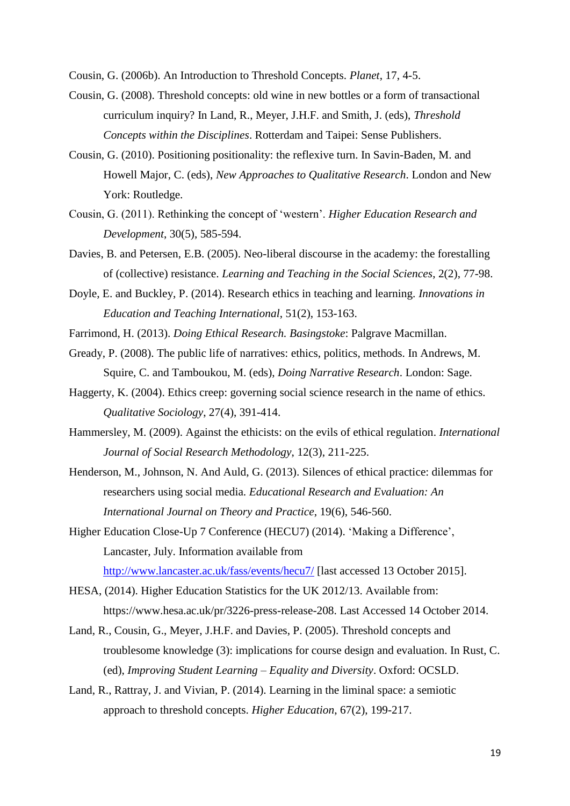Cousin, G. (2006b). An Introduction to Threshold Concepts. *Planet*, 17, 4-5.

- Cousin, G. (2008). Threshold concepts: old wine in new bottles or a form of transactional curriculum inquiry? In Land, R., Meyer, J.H.F. and Smith, J. (eds), *Threshold Concepts within the Disciplines*. Rotterdam and Taipei: Sense Publishers.
- Cousin, G. (2010). Positioning positionality: the reflexive turn. In Savin-Baden, M. and Howell Major, C. (eds), *New Approaches to Qualitative Research*. London and New York: Routledge.
- Cousin, G. (2011). Rethinking the concept of 'western'. *Higher Education Research and Development*, 30(5), 585-594.
- Davies, B. and Petersen, E.B. (2005). Neo-liberal discourse in the academy: the forestalling of (collective) resistance. *Learning and Teaching in the Social Sciences*, 2(2), 77-98.
- Doyle, E. and Buckley, P. (2014). Research ethics in teaching and learning. *Innovations in Education and Teaching International*, 51(2), 153-163.
- Farrimond, H. (2013). *Doing Ethical Research. Basingstoke*: Palgrave Macmillan.
- Gready, P. (2008). The public life of narratives: ethics, politics, methods. In Andrews, M. Squire, C. and Tamboukou, M. (eds), *Doing Narrative Research*. London: Sage.
- Haggerty, K. (2004). Ethics creep: governing social science research in the name of ethics. *Qualitative Sociology*, 27(4), 391-414.
- Hammersley, M. (2009). Against the ethicists: on the evils of ethical regulation. *International Journal of Social Research Methodology*, 12(3), 211-225.
- Henderson, M., Johnson, N. And Auld, G. (2013). Silences of ethical practice: dilemmas for researchers using social media. *Educational Research and Evaluation: An International Journal on Theory and Practice*, 19(6), 546-560.

Higher Education Close-Up 7 Conference (HECU7) (2014). 'Making a Difference', Lancaster, July. Information available from <http://www.lancaster.ac.uk/fass/events/hecu7/> [last accessed 13 October 2015].

- HESA, (2014). Higher Education Statistics for the UK 2012/13. Available from: [https://www.hesa.ac.uk/pr/3226-press-release-208.](https://www.hesa.ac.uk/pr/3226-press-release-208) Last Accessed 14 October 2014.
- Land, R., Cousin, G., Meyer, J.H.F. and Davies, P. (2005). Threshold concepts and troublesome knowledge (3): implications for course design and evaluation. In Rust, C. (ed), *Improving Student Learning – Equality and Diversity*. Oxford: OCSLD.
- Land, R., Rattray, J. and Vivian, P. (2014). Learning in the liminal space: a semiotic approach to threshold concepts. *Higher Education*, 67(2), 199-217.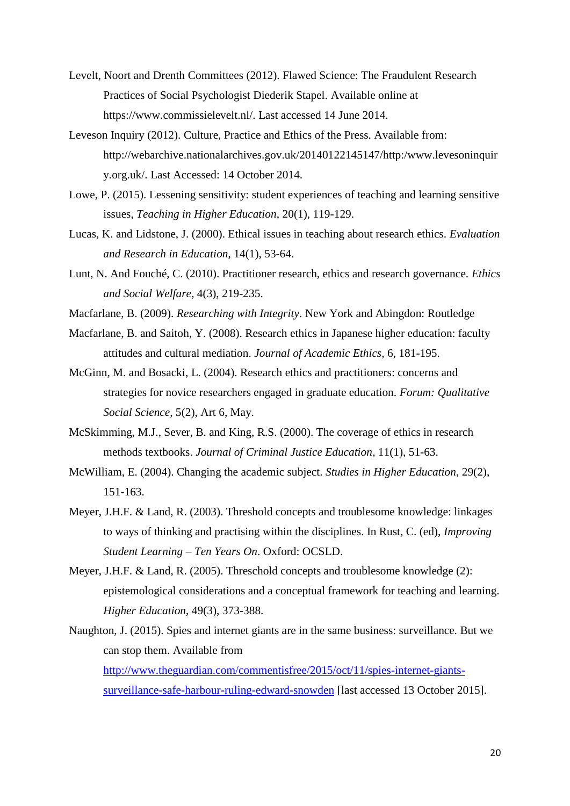- Levelt, Noort and Drenth Committees (2012). Flawed Science: The Fraudulent Research Practices of Social Psychologist Diederik Stapel. Available online at [https://www.commissielevelt.nl/.](https://www.commissielevelt.nl/) Last accessed 14 June 2014.
- Leveson Inquiry (2012). Culture, Practice and Ethics of the Press. Available from: [http://webarchive.nationalarchives.gov.uk/20140122145147/http:/www.levesoninquir](http://webarchive.nationalarchives.gov.uk/20140122145147/http:/www.levesoninquiry.org.uk/) [y.org.uk/.](http://webarchive.nationalarchives.gov.uk/20140122145147/http:/www.levesoninquiry.org.uk/) Last Accessed: 14 October 2014.
- Lowe, P. (2015). Lessening sensitivity: student experiences of teaching and learning sensitive issues, *Teaching in Higher Education*, 20(1), 119-129.
- Lucas, K. and Lidstone, J. (2000). Ethical issues in teaching about research ethics. *Evaluation and Research in Education*, 14(1), 53-64.
- Lunt, N. And Fouché, C. (2010). Practitioner research, ethics and research governance. *Ethics and Social Welfare*, 4(3), 219-235.
- Macfarlane, B. (2009). *Researching with Integrity*. New York and Abingdon: Routledge
- Macfarlane, B. and Saitoh, Y. (2008). Research ethics in Japanese higher education: faculty attitudes and cultural mediation. *Journal of Academic Ethics*, 6, 181-195.
- McGinn, M. and Bosacki, L. (2004). Research ethics and practitioners: concerns and strategies for novice researchers engaged in graduate education. *Forum: Qualitative Social Science*, 5(2), Art 6, May.
- McSkimming, M.J., Sever, B. and King, R.S. (2000). The coverage of ethics in research methods textbooks. *Journal of Criminal Justice Education*, 11(1), 51-63.
- McWilliam, E. (2004). Changing the academic subject. *Studies in Higher Education*, 29(2), 151-163.
- Meyer, J.H.F. & Land, R. (2003). Threshold concepts and troublesome knowledge: linkages to ways of thinking and practising within the disciplines. In Rust, C. (ed), *Improving Student Learning – Ten Years On*. Oxford: OCSLD.
- Meyer, J.H.F. & Land, R. (2005). Threschold concepts and troublesome knowledge (2): epistemological considerations and a conceptual framework for teaching and learning. *Higher Education*, 49(3), 373-388.
- Naughton, J. (2015). Spies and internet giants are in the same business: surveillance. But we can stop them. Available from [http://www.theguardian.com/commentisfree/2015/oct/11/spies-internet-giants-](http://www.theguardian.com/commentisfree/2015/oct/11/spies-internet-giants-surveillance-safe-harbour-ruling-edward-snowden)